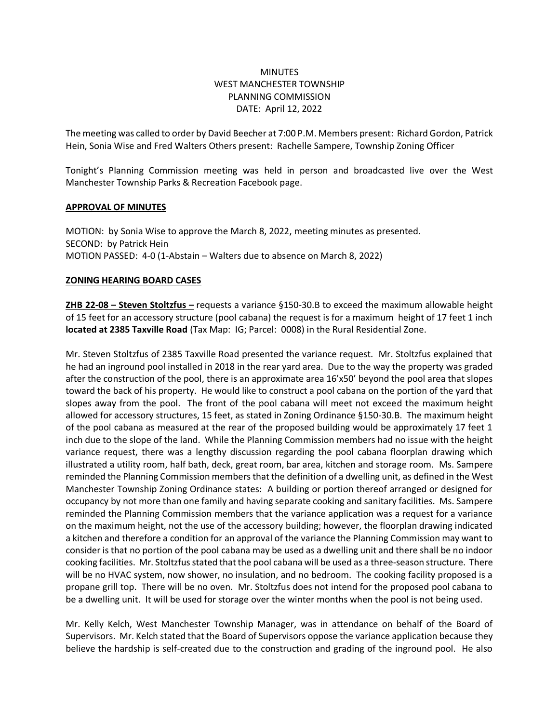# MINUTES WEST MANCHESTER TOWNSHIP PLANNING COMMISSION DATE: April 12, 2022

The meeting was called to order by David Beecher at 7:00 P.M. Members present: Richard Gordon, Patrick Hein, Sonia Wise and Fred Walters Others present: Rachelle Sampere, Township Zoning Officer

Tonight's Planning Commission meeting was held in person and broadcasted live over the West Manchester Township Parks & Recreation Facebook page.

### **APPROVAL OF MINUTES**

MOTION: by Sonia Wise to approve the March 8, 2022, meeting minutes as presented. SECOND: by Patrick Hein MOTION PASSED: 4-0 (1-Abstain – Walters due to absence on March 8, 2022)

## **ZONING HEARING BOARD CASES**

**ZHB 22-08 – Steven Stoltzfus –** requests a variance §150-30.B to exceed the maximum allowable height of 15 feet for an accessory structure (pool cabana) the request is for a maximum height of 17 feet 1 inch **located at 2385 Taxville Road** (Tax Map: IG; Parcel: 0008) in the Rural Residential Zone.

Mr. Steven Stoltzfus of 2385 Taxville Road presented the variance request. Mr. Stoltzfus explained that he had an inground pool installed in 2018 in the rear yard area. Due to the way the property was graded after the construction of the pool, there is an approximate area 16'x50' beyond the pool area that slopes toward the back of his property. He would like to construct a pool cabana on the portion of the yard that slopes away from the pool. The front of the pool cabana will meet not exceed the maximum height allowed for accessory structures, 15 feet, as stated in Zoning Ordinance §150-30.B. The maximum height of the pool cabana as measured at the rear of the proposed building would be approximately 17 feet 1 inch due to the slope of the land. While the Planning Commission members had no issue with the height variance request, there was a lengthy discussion regarding the pool cabana floorplan drawing which illustrated a utility room, half bath, deck, great room, bar area, kitchen and storage room. Ms. Sampere reminded the Planning Commission members that the definition of a dwelling unit, as defined in the West Manchester Township Zoning Ordinance states: A building or portion thereof arranged or designed for occupancy by not more than one family and having separate cooking and sanitary facilities. Ms. Sampere reminded the Planning Commission members that the variance application was a request for a variance on the maximum height, not the use of the accessory building; however, the floorplan drawing indicated a kitchen and therefore a condition for an approval of the variance the Planning Commission may want to consider is that no portion of the pool cabana may be used as a dwelling unit and there shall be no indoor cooking facilities. Mr. Stoltzfus stated that the pool cabana will be used as a three-season structure. There will be no HVAC system, now shower, no insulation, and no bedroom. The cooking facility proposed is a propane grill top. There will be no oven. Mr. Stoltzfus does not intend for the proposed pool cabana to be a dwelling unit. It will be used for storage over the winter months when the pool is not being used.

Mr. Kelly Kelch, West Manchester Township Manager, was in attendance on behalf of the Board of Supervisors. Mr. Kelch stated that the Board of Supervisors oppose the variance application because they believe the hardship is self-created due to the construction and grading of the inground pool. He also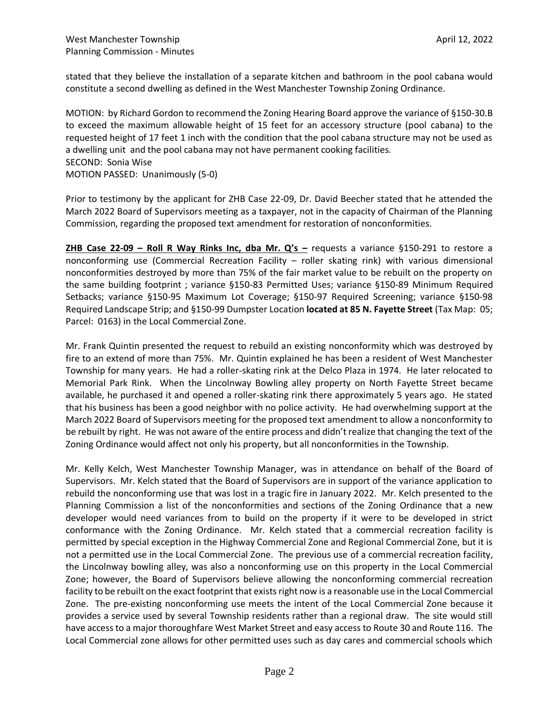stated that they believe the installation of a separate kitchen and bathroom in the pool cabana would constitute a second dwelling as defined in the West Manchester Township Zoning Ordinance.

MOTION: by Richard Gordon to recommend the Zoning Hearing Board approve the variance of §150-30.B to exceed the maximum allowable height of 15 feet for an accessory structure (pool cabana) to the requested height of 17 feet 1 inch with the condition that the pool cabana structure may not be used as a dwelling unit and the pool cabana may not have permanent cooking facilities. SECOND: Sonia Wise MOTION PASSED: Unanimously (5-0)

Prior to testimony by the applicant for ZHB Case 22-09, Dr. David Beecher stated that he attended the March 2022 Board of Supervisors meeting as a taxpayer, not in the capacity of Chairman of the Planning Commission, regarding the proposed text amendment for restoration of nonconformities.

**ZHB Case 22-09 – Roll R Way Rinks Inc, dba Mr. Q's –** requests a variance §150-291 to restore a nonconforming use (Commercial Recreation Facility – roller skating rink) with various dimensional nonconformities destroyed by more than 75% of the fair market value to be rebuilt on the property on the same building footprint ; variance §150-83 Permitted Uses; variance §150-89 Minimum Required Setbacks; variance §150-95 Maximum Lot Coverage; §150-97 Required Screening; variance §150-98 Required Landscape Strip; and §150-99 Dumpster Location **located at 85 N. Fayette Street** (Tax Map: 05; Parcel: 0163) in the Local Commercial Zone.

Mr. Frank Quintin presented the request to rebuild an existing nonconformity which was destroyed by fire to an extend of more than 75%. Mr. Quintin explained he has been a resident of West Manchester Township for many years. He had a roller-skating rink at the Delco Plaza in 1974. He later relocated to Memorial Park Rink. When the Lincolnway Bowling alley property on North Fayette Street became available, he purchased it and opened a roller-skating rink there approximately 5 years ago. He stated that his business has been a good neighbor with no police activity. He had overwhelming support at the March 2022 Board of Supervisors meeting for the proposed text amendment to allow a nonconformity to be rebuilt by right. He was not aware of the entire process and didn't realize that changing the text of the Zoning Ordinance would affect not only his property, but all nonconformities in the Township.

Mr. Kelly Kelch, West Manchester Township Manager, was in attendance on behalf of the Board of Supervisors. Mr. Kelch stated that the Board of Supervisors are in support of the variance application to rebuild the nonconforming use that was lost in a tragic fire in January 2022. Mr. Kelch presented to the Planning Commission a list of the nonconformities and sections of the Zoning Ordinance that a new developer would need variances from to build on the property if it were to be developed in strict conformance with the Zoning Ordinance. Mr. Kelch stated that a commercial recreation facility is permitted by special exception in the Highway Commercial Zone and Regional Commercial Zone, but it is not a permitted use in the Local Commercial Zone. The previous use of a commercial recreation facility, the Lincolnway bowling alley, was also a nonconforming use on this property in the Local Commercial Zone; however, the Board of Supervisors believe allowing the nonconforming commercial recreation facility to be rebuilt on the exact footprint that exists right now is a reasonable use in the Local Commercial Zone. The pre-existing nonconforming use meets the intent of the Local Commercial Zone because it provides a service used by several Township residents rather than a regional draw. The site would still have access to a major thoroughfare West Market Street and easy access to Route 30 and Route 116. The Local Commercial zone allows for other permitted uses such as day cares and commercial schools which